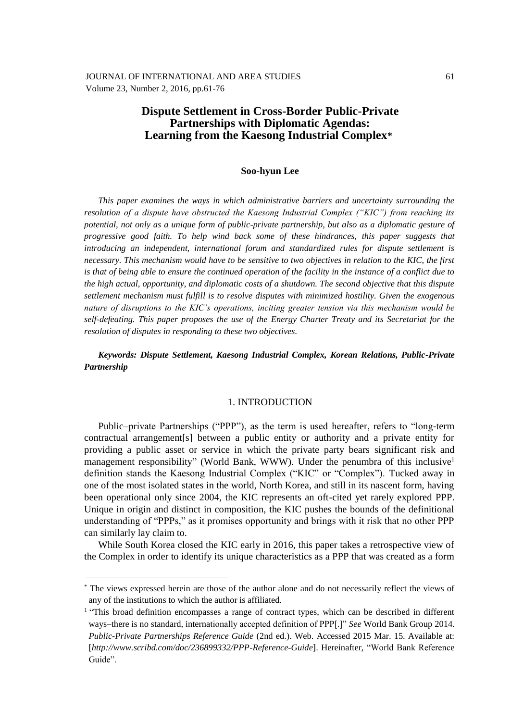# **Dispute Settlement in Cross-Border Public-Private Partnerships with Diplomatic Agendas: Learning from the Kaesong Industrial Complex\***

### **Soo-hyun Lee**

*This paper examines the ways in which administrative barriers and uncertainty surrounding the resolution of a dispute have obstructed the Kaesong Industrial Complex ("KIC") from reaching its potential, not only as a unique form of public-private partnership, but also as a diplomatic gesture of progressive good faith. To help wind back some of these hindrances, this paper suggests that introducing an independent, international forum and standardized rules for dispute settlement is necessary. This mechanism would have to be sensitive to two objectives in relation to the KIC, the first is that of being able to ensure the continued operation of the facility in the instance of a conflict due to the high actual, opportunity, and diplomatic costs of a shutdown. The second objective that this dispute settlement mechanism must fulfill is to resolve disputes with minimized hostility. Given the exogenous nature of disruptions to the KIC's operations, inciting greater tension via this mechanism would be self-defeating. This paper proposes the use of the Energy Charter Treaty and its Secretariat for the resolution of disputes in responding to these two objectives.*

*Keywords: Dispute Settlement, Kaesong Industrial Complex, Korean Relations, Public-Private Partnership*

### 1. INTRODUCTION

Public–private Partnerships ("PPP"), as the term is used hereafter, refers to "long-term contractual arrangement[s] between a public entity or authority and a private entity for providing a public asset or service in which the private party bears significant risk and management responsibility" (World Bank, WWW). Under the penumbra of this inclusive<sup>1</sup> definition stands the Kaesong Industrial Complex ("KIC" or "Complex"). Tucked away in one of the most isolated states in the world, North Korea, and still in its nascent form, having been operational only since 2004, the KIC represents an oft-cited yet rarely explored PPP. Unique in origin and distinct in composition, the KIC pushes the bounds of the definitional understanding of "PPPs," as it promises opportunity and brings with it risk that no other PPP can similarly lay claim to.

While South Korea closed the KIC early in 2016, this paper takes a retrospective view of the Complex in order to identify its unique characteristics as a PPP that was created as a form

<sup>\*</sup> The views expressed herein are those of the author alone and do not necessarily reflect the views of any of the institutions to which the author is affiliated.

<sup>&</sup>lt;sup>1</sup> "This broad definition encompasses a range of contract types, which can be described in different ways–there is no standard, internationally accepted definition of PPP[.]" *See* World Bank Group 2014. *Public-Private Partnerships Reference Guide* (2nd ed.). Web. Accessed 2015 Mar. 15. Available at: [*http://www.scribd.com/doc/236899332/PPP-Reference-Guide*]. Hereinafter, "World Bank Reference Guide".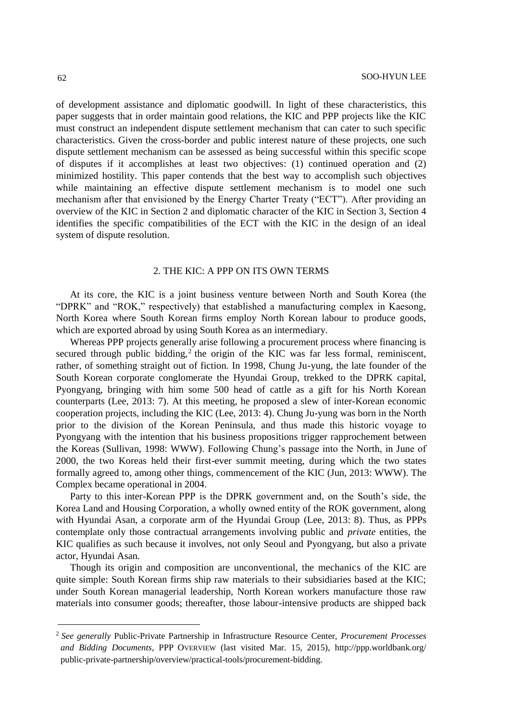of development assistance and diplomatic goodwill. In light of these characteristics, this paper suggests that in order maintain good relations, the KIC and PPP projects like the KIC must construct an independent dispute settlement mechanism that can cater to such specific characteristics. Given the cross-border and public interest nature of these projects, one such dispute settlement mechanism can be assessed as being successful within this specific scope of disputes if it accomplishes at least two objectives: (1) continued operation and (2) minimized hostility. This paper contends that the best way to accomplish such objectives while maintaining an effective dispute settlement mechanism is to model one such mechanism after that envisioned by the Energy Charter Treaty ("ECT"). After providing an overview of the KIC in Section 2 and diplomatic character of the KIC in Section 3, Section 4 identifies the specific compatibilities of the ECT with the KIC in the design of an ideal system of dispute resolution.

## 2. THE KIC: A PPP ON ITS OWN TERMS

At its core, the KIC is a joint business venture between North and South Korea (the "DPRK" and "ROK," respectively) that established a manufacturing complex in Kaesong, North Korea where South Korean firms employ North Korean labour to produce goods, which are exported abroad by using South Korea as an intermediary.

Whereas PPP projects generally arise following a procurement process where financing is secured through public bidding, $2$  the origin of the KIC was far less formal, reminiscent, rather, of something straight out of fiction. In 1998, Chung Ju-yung, the late founder of the South Korean corporate conglomerate the Hyundai Group, trekked to the DPRK capital, Pyongyang, bringing with him some 500 head of cattle as a gift for his North Korean counterparts (Lee, 2013: 7). At this meeting, he proposed a slew of inter-Korean economic cooperation projects, including the KIC (Lee, 2013: 4). Chung Ju-yung was born in the North prior to the division of the Korean Peninsula, and thus made this historic voyage to Pyongyang with the intention that his business propositions trigger rapprochement between the Koreas (Sullivan, 1998: WWW). Following Chung's passage into the North, in June of 2000, the two Koreas held their first-ever summit meeting, during which the two states formally agreed to, among other things, commencement of the KIC (Jun, 2013: WWW). The Complex became operational in 2004.

Party to this inter-Korean PPP is the DPRK government and, on the South's side, the Korea Land and Housing Corporation, a wholly owned entity of the ROK government, along with Hyundai Asan, a corporate arm of the Hyundai Group (Lee, 2013: 8). Thus, as PPPs contemplate only those contractual arrangements involving public and *private* entities, the KIC qualifies as such because it involves, not only Seoul and Pyongyang, but also a private actor, Hyundai Asan.

Though its origin and composition are unconventional, the mechanics of the KIC are quite simple: South Korean firms ship raw materials to their subsidiaries based at the KIC; under South Korean managerial leadership, North Korean workers manufacture those raw materials into consumer goods; thereafter, those labour-intensive products are shipped back

<sup>2</sup> *See generally* Public-Private Partnership in Infrastructure Resource Center, *Procurement Processes and Bidding Documents*, PPP OVERVIEW (last visited Mar. 15, 2015), http://ppp.worldbank.org/ public-private-partnership/overview/practical-tools/procurement-bidding.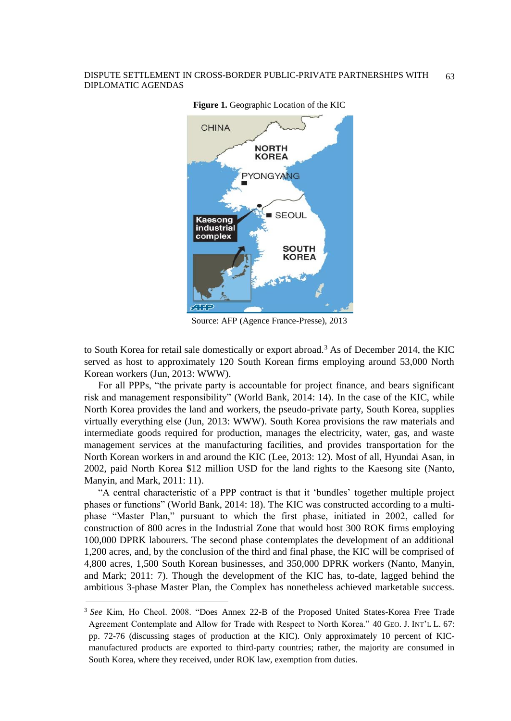

**Figure 1.** Geographic Location of the KIC

Source: AFP (Agence France-Presse), 2013

to South Korea for retail sale domestically or export abroad.<sup>3</sup> As of December 2014, the KIC served as host to approximately 120 South Korean firms employing around 53,000 North Korean workers (Jun, 2013: WWW).

For all PPPs, "the private party is accountable for project finance, and bears significant risk and management responsibility" (World Bank, 2014: 14). In the case of the KIC, while North Korea provides the land and workers, the pseudo-private party, South Korea, supplies virtually everything else (Jun, 2013: WWW). South Korea provisions the raw materials and intermediate goods required for production, manages the electricity, water, gas, and waste management services at the manufacturing facilities, and provides transportation for the North Korean workers in and around the KIC (Lee, 2013: 12). Most of all, Hyundai Asan, in 2002, paid North Korea \$12 million USD for the land rights to the Kaesong site (Nanto, Manyin, and Mark, 2011: 11).

"A central characteristic of a PPP contract is that it 'bundles' together multiple project phases or functions" (World Bank, 2014: 18). The KIC was constructed according to a multiphase "Master Plan," pursuant to which the first phase, initiated in 2002, called for construction of 800 acres in the Industrial Zone that would host 300 ROK firms employing 100,000 DPRK labourers. The second phase contemplates the development of an additional 1,200 acres, and, by the conclusion of the third and final phase, the KIC will be comprised of 4,800 acres, 1,500 South Korean businesses, and 350,000 DPRK workers (Nanto, Manyin, and Mark; 2011: 7). Though the development of the KIC has, to-date, lagged behind the ambitious 3-phase Master Plan, the Complex has nonetheless achieved marketable success.

<sup>3</sup> *See* Kim, Ho Cheol. 2008. "Does Annex 22-B of the Proposed United States-Korea Free Trade Agreement Contemplate and Allow for Trade with Respect to North Korea." 40 GEO. J. INT'L L. 67: pp. 72-76 (discussing stages of production at the KIC). Only approximately 10 percent of KICmanufactured products are exported to third-party countries; rather, the majority are consumed in South Korea, where they received, under ROK law, exemption from duties.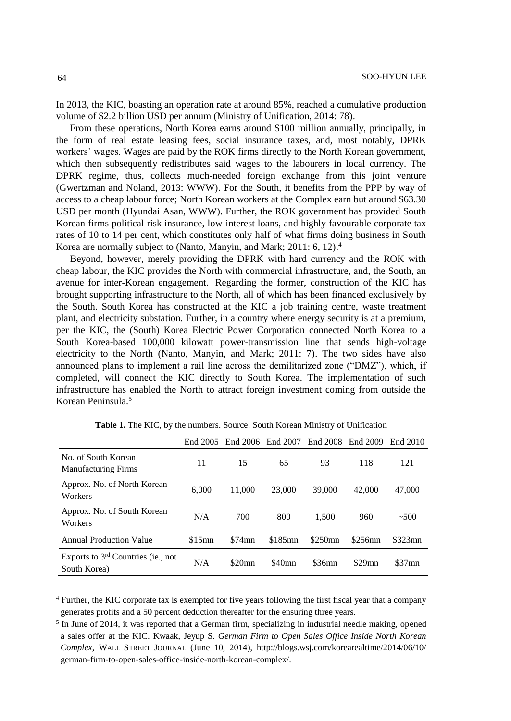In 2013, the KIC, boasting an operation rate at around 85%, reached a cumulative production volume of \$2.2 billion USD per annum (Ministry of Unification, 2014: 78).

From these operations, North Korea earns around \$100 million annually, principally, in the form of real estate leasing fees, social insurance taxes, and, most notably, DPRK workers' wages. Wages are paid by the ROK firms directly to the North Korean government, which then subsequently redistributes said wages to the labourers in local currency. The DPRK regime, thus, collects much-needed foreign exchange from this joint venture (Gwertzman and Noland, 2013: WWW). For the South, it benefits from the PPP by way of access to a cheap labour force; North Korean workers at the Complex earn but around \$63.30 USD per month (Hyundai Asan, WWW). Further, the ROK government has provided South Korean firms political risk insurance, low-interest loans, and highly favourable corporate tax rates of 10 to 14 per cent, which constitutes only half of what firms doing business in South Korea are normally subject to (Nanto, Manyin, and Mark; 2011: 6, 12). 4

Beyond, however, merely providing the DPRK with hard currency and the ROK with cheap labour, the KIC provides the North with commercial infrastructure, and, the South, an avenue for inter-Korean engagement. Regarding the former, construction of the KIC has brought supporting infrastructure to the North, all of which has been financed exclusively by the South. South Korea has constructed at the KIC a job training centre, waste treatment plant, and electricity substation. Further, in a country where energy security is at a premium, per the KIC, the (South) Korea Electric Power Corporation connected North Korea to a South Korea-based 100,000 kilowatt power-transmission line that sends high-voltage electricity to the North (Nanto, Manyin, and Mark; 2011: 7). The two sides have also announced plans to implement a rail line across the demilitarized zone ("DMZ"), which, if completed, will connect the KIC directly to South Korea. The implementation of such infrastructure has enabled the North to attract foreign investment coming from outside the Korean Peninsula.<sup>5</sup>

|                                                      | End 2005 | End 2006 | End 2007           | End 2008  | End 2009  | End 2010  |
|------------------------------------------------------|----------|----------|--------------------|-----------|-----------|-----------|
| No. of South Korean<br><b>Manufacturing Firms</b>    | 11       | 15       | 65                 | 93        | 118       | 121       |
| Approx. No. of North Korean<br>Workers               | 6.000    | 11.000   | 23,000             | 39,000    | 42,000    | 47,000    |
| Approx. No. of South Korean<br>Workers               | N/A      | 700      | 800                | 1.500     | 960       | ~100      |
| <b>Annual Production Value</b>                       | \$15mn   | $$74$ mn | \$185mn            | $$250$ mn | $$256$ mn | $$323$ mn |
| Exports to $3rd$ Countries (ie., not<br>South Korea) | N/A      | \$20mn   | \$40 <sub>mn</sub> | \$36mn    | $$29$ mn  | $$37$ mn  |
|                                                      |          |          |                    |           |           |           |

**Table 1.** The KIC, by the numbers. Source: South Korean Ministry of Unification

<sup>4</sup> Further, the KIC corporate tax is exempted for five years following the first fiscal year that a company generates profits and a 50 percent deduction thereafter for the ensuring three years.

<sup>&</sup>lt;sup>5</sup> In June of 2014, it was reported that a German firm, specializing in industrial needle making, opened a sales offer at the KIC. Kwaak, Jeyup S. *German Firm to Open Sales Office Inside North Korean Complex*, WALL STREET JOURNAL (June 10, 2014), http://blogs.wsj.com/korearealtime/2014/06/10/ german-firm-to-open-sales-office-inside-north-korean-complex/.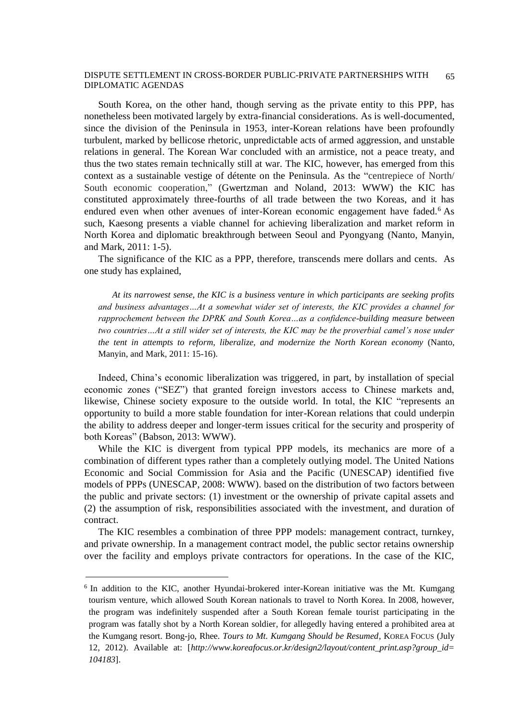South Korea, on the other hand, though serving as the private entity to this PPP, has nonetheless been motivated largely by extra-financial considerations. As is well-documented, since the division of the Peninsula in 1953, inter-Korean relations have been profoundly turbulent, marked by bellicose rhetoric, unpredictable acts of armed aggression, and unstable relations in general. The Korean War concluded with an armistice, not a peace treaty, and thus the two states remain technically still at war. The KIC, however, has emerged from this context as a sustainable vestige of détente on the Peninsula. As the "centrepiece of North/ South economic cooperation," (Gwertzman and Noland, 2013: WWW) the KIC has constituted approximately three-fourths of all trade between the two Koreas, and it has endured even when other avenues of inter-Korean economic engagement have faded.<sup>6</sup> As such, Kaesong presents a viable channel for achieving liberalization and market reform in North Korea and diplomatic breakthrough between Seoul and Pyongyang (Nanto, Manyin, and Mark, 2011: 1-5).

The significance of the KIC as a PPP, therefore, transcends mere dollars and cents. As one study has explained,

*At its narrowest sense, the KIC is a business venture in which participants are seeking profits and business advantages…At a somewhat wider set of interests, the KIC provides a channel for rapprochement between the DPRK and South Korea…as a confidence-building measure between two countries…At a still wider set of interests, the KIC may be the proverbial camel's nose under the tent in attempts to reform, liberalize, and modernize the North Korean economy* (Nanto, Manyin, and Mark, 2011: 15-16).

Indeed, China's economic liberalization was triggered, in part, by installation of special economic zones ("SEZ") that granted foreign investors access to Chinese markets and, likewise, Chinese society exposure to the outside world. In total, the KIC "represents an opportunity to build a more stable foundation for inter-Korean relations that could underpin the ability to address deeper and longer-term issues critical for the security and prosperity of both Koreas" (Babson, 2013: WWW).

While the KIC is divergent from typical PPP models, its mechanics are more of a combination of different types rather than a completely outlying model. The United Nations Economic and Social Commission for Asia and the Pacific (UNESCAP) identified five models of PPPs (UNESCAP, 2008: WWW). based on the distribution of two factors between the public and private sectors: (1) investment or the ownership of private capital assets and (2) the assumption of risk, responsibilities associated with the investment, and duration of contract.

The KIC resembles a combination of three PPP models: management contract, turnkey, and private ownership. In a management contract model, the public sector retains ownership over the facility and employs private contractors for operations. In the case of the KIC,

<sup>&</sup>lt;sup>6</sup> In addition to the KIC, another Hyundai-brokered inter-Korean initiative was the Mt. Kumgang tourism venture, which allowed South Korean nationals to travel to North Korea. In 2008, however, the program was indefinitely suspended after a South Korean female tourist participating in the program was fatally shot by a North Korean soldier, for allegedly having entered a prohibited area at the Kumgang resort. Bong-jo, Rhee. *Tours to Mt. Kumgang Should be Resumed*, KOREA FOCUS (July 12, 2012). Available at: [*http://www.koreafocus.or.kr/design2/layout/content\_print.asp?group\_id= 104183*].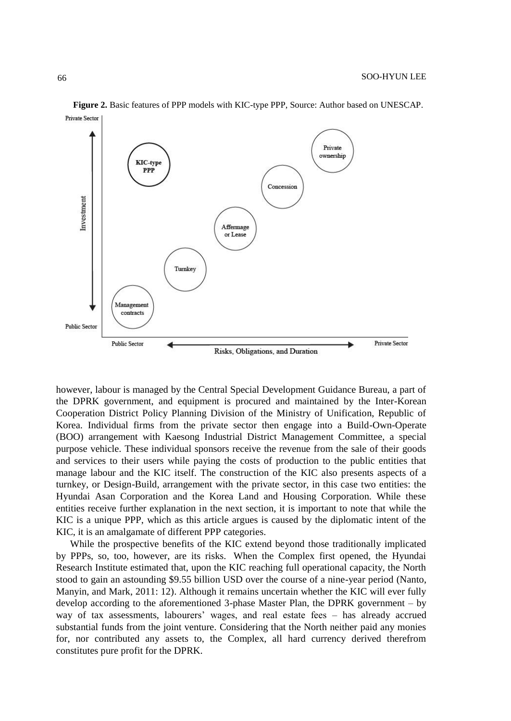

**Figure 2.** Basic features of PPP models with KIC-type PPP, Source: Author based on UNESCAP.

however, labour is managed by the Central Special Development Guidance Bureau, a part of the DPRK government, and equipment is procured and maintained by the Inter-Korean Cooperation District Policy Planning Division of the Ministry of Unification, Republic of Korea. Individual firms from the private sector then engage into a Build-Own-Operate (BOO) arrangement with Kaesong Industrial District Management Committee, a special purpose vehicle. These individual sponsors receive the revenue from the sale of their goods and services to their users while paying the costs of production to the public entities that manage labour and the KIC itself. The construction of the KIC also presents aspects of a turnkey, or Design-Build, arrangement with the private sector, in this case two entities: the Hyundai Asan Corporation and the Korea Land and Housing Corporation. While these entities receive further explanation in the next section, it is important to note that while the KIC is a unique PPP, which as this article argues is caused by the diplomatic intent of the KIC, it is an amalgamate of different PPP categories.

While the prospective benefits of the KIC extend beyond those traditionally implicated by PPPs, so, too, however, are its risks. When the Complex first opened, the Hyundai Research Institute estimated that, upon the KIC reaching full operational capacity, the North stood to gain an astounding \$9.55 billion USD over the course of a nine-year period (Nanto, Manyin, and Mark, 2011: 12). Although it remains uncertain whether the KIC will ever fully develop according to the aforementioned 3-phase Master Plan, the DPRK government – by way of tax assessments, labourers' wages, and real estate fees – has already accrued substantial funds from the joint venture. Considering that the North neither paid any monies for, nor contributed any assets to, the Complex, all hard currency derived therefrom constitutes pure profit for the DPRK.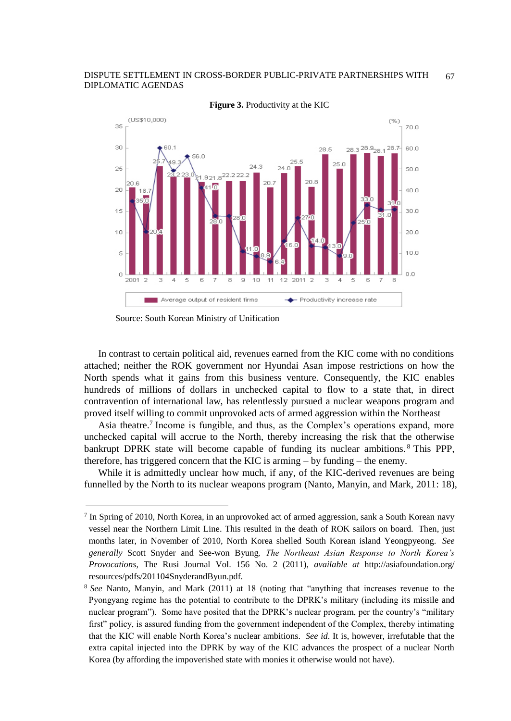

**Figure 3.** Productivity at the KIC

l

In contrast to certain political aid, revenues earned from the KIC come with no conditions attached; neither the ROK government nor Hyundai Asan impose restrictions on how the North spends what it gains from this business venture. Consequently, the KIC enables hundreds of millions of dollars in unchecked capital to flow to a state that, in direct contravention of international law, has relentlessly pursued a nuclear weapons program and proved itself willing to commit unprovoked acts of armed aggression within the Northeast

Asia theatre.<sup>7</sup> Income is fungible, and thus, as the Complex's operations expand, more unchecked capital will accrue to the North, thereby increasing the risk that the otherwise bankrupt DPRK state will become capable of funding its nuclear ambitions. <sup>8</sup> This PPP, therefore, has triggered concern that the KIC is arming – by funding – the enemy.

While it is admittedly unclear how much, if any, of the KIC-derived revenues are being funnelled by the North to its nuclear weapons program (Nanto, Manyin, and Mark, 2011: 18),

Source: South Korean Ministry of Unification

<sup>7</sup> In Spring of 2010, North Korea, in an unprovoked act of armed aggression, sank a South Korean navy vessel near the Northern Limit Line. This resulted in the death of ROK sailors on board. Then, just months later, in November of 2010, North Korea shelled South Korean island Yeongpyeong. *See generally* Scott Snyder and See-won Byung*, The Northeast Asian Response to North Korea's Provocations*, The Rusi Journal Vol. 156 No. 2 (2011), *available at* http://asiafoundation.org/ resources/pdfs/201104SnyderandByun.pdf.

<sup>8</sup> *See* Nanto, Manyin, and Mark (2011) at 18 (noting that "anything that increases revenue to the Pyongyang regime has the potential to contribute to the DPRK's military (including its missile and nuclear program"). Some have posited that the DPRK's nuclear program, per the country's "military first" policy, is assured funding from the government independent of the Complex, thereby intimating that the KIC will enable North Korea's nuclear ambitions. *See id*. It is, however, irrefutable that the extra capital injected into the DPRK by way of the KIC advances the prospect of a nuclear North Korea (by affording the impoverished state with monies it otherwise would not have).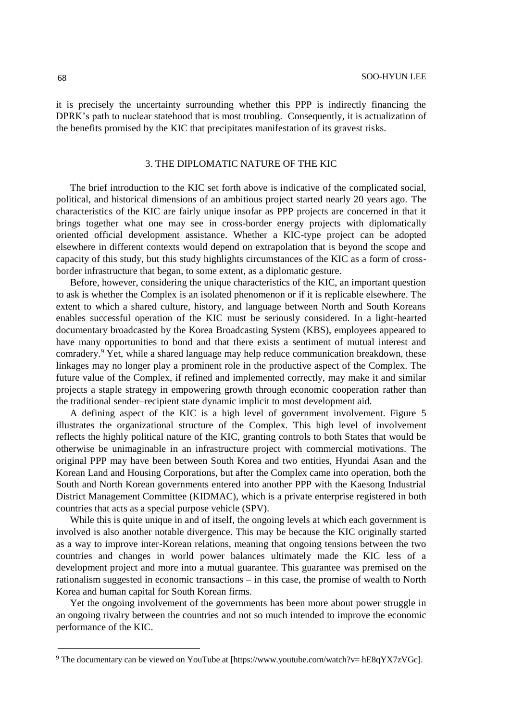it is precisely the uncertainty surrounding whether this PPP is indirectly financing the DPRK's path to nuclear statehood that is most troubling. Consequently, it is actualization of the benefits promised by the KIC that precipitates manifestation of its gravest risks.

### 3. THE DIPLOMATIC NATURE OF THE KIC

The brief introduction to the KIC set forth above is indicative of the complicated social, political, and historical dimensions of an ambitious project started nearly 20 years ago. The characteristics of the KIC are fairly unique insofar as PPP projects are concerned in that it brings together what one may see in cross-border energy projects with diplomatically oriented official development assistance. Whether a KIC-type project can be adopted elsewhere in different contexts would depend on extrapolation that is beyond the scope and capacity of this study, but this study highlights circumstances of the KIC as a form of crossborder infrastructure that began, to some extent, as a diplomatic gesture.

Before, however, considering the unique characteristics of the KIC, an important question to ask is whether the Complex is an isolated phenomenon or if it is replicable elsewhere. The extent to which a shared culture, history, and language between North and South Koreans enables successful operation of the KIC must be seriously considered. In a light-hearted documentary broadcasted by the Korea Broadcasting System (KBS), employees appeared to have many opportunities to bond and that there exists a sentiment of mutual interest and comradery.<sup>9</sup> Yet, while a shared language may help reduce communication breakdown, these linkages may no longer play a prominent role in the productive aspect of the Complex. The future value of the Complex, if refined and implemented correctly, may make it and similar projects a staple strategy in empowering growth through economic cooperation rather than the traditional sender–recipient state dynamic implicit to most development aid.

A defining aspect of the KIC is a high level of government involvement. Figure 5 illustrates the organizational structure of the Complex. This high level of involvement reflects the highly political nature of the KIC, granting controls to both States that would be otherwise be unimaginable in an infrastructure project with commercial motivations. The original PPP may have been between South Korea and two entities, Hyundai Asan and the Korean Land and Housing Corporations, but after the Complex came into operation, both the South and North Korean governments entered into another PPP with the Kaesong Industrial District Management Committee (KIDMAC), which is a private enterprise registered in both countries that acts as a special purpose vehicle (SPV).

While this is quite unique in and of itself, the ongoing levels at which each government is involved is also another notable divergence. This may be because the KIC originally started as a way to improve inter-Korean relations, meaning that ongoing tensions between the two countries and changes in world power balances ultimately made the KIC less of a development project and more into a mutual guarantee. This guarantee was premised on the rationalism suggested in economic transactions – in this case, the promise of wealth to North Korea and human capital for South Korean firms.

Yet the ongoing involvement of the governments has been more about power struggle in an ongoing rivalry between the countries and not so much intended to improve the economic performance of the KIC.

<sup>9</sup> The documentary can be viewed on YouTube at [https://www.youtube.com/watch?v= hE8qYX7zVGc].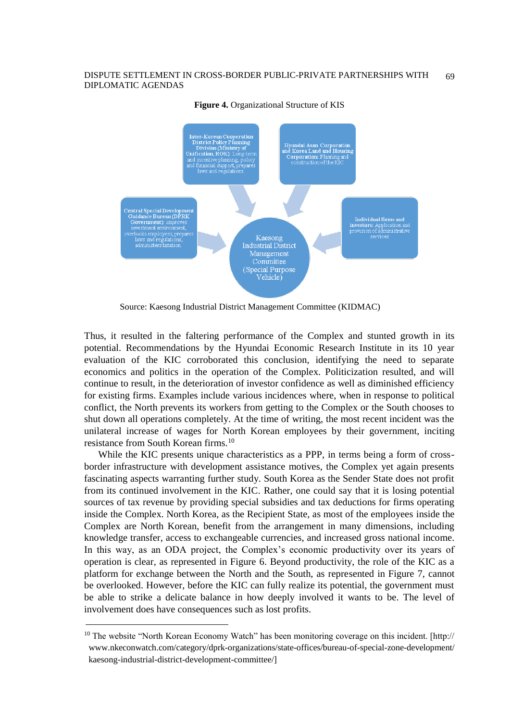

### **Figure 4.** Organizational Structure of KIS

Source: Kaesong Industrial District Management Committee (KIDMAC)

Thus, it resulted in the faltering performance of the Complex and stunted growth in its potential. Recommendations by the Hyundai Economic Research Institute in its 10 year evaluation of the KIC corroborated this conclusion, identifying the need to separate economics and politics in the operation of the Complex. Politicization resulted, and will continue to result, in the deterioration of investor confidence as well as diminished efficiency for existing firms. Examples include various incidences where, when in response to political conflict, the North prevents its workers from getting to the Complex or the South chooses to shut down all operations completely. At the time of writing, the most recent incident was the unilateral increase of wages for North Korean employees by their government, inciting resistance from South Korean firms.<sup>10</sup>

While the KIC presents unique characteristics as a PPP, in terms being a form of crossborder infrastructure with development assistance motives, the Complex yet again presents fascinating aspects warranting further study. South Korea as the Sender State does not profit from its continued involvement in the KIC. Rather, one could say that it is losing potential sources of tax revenue by providing special subsidies and tax deductions for firms operating inside the Complex. North Korea, as the Recipient State, as most of the employees inside the Complex are North Korean, benefit from the arrangement in many dimensions, including knowledge transfer, access to exchangeable currencies, and increased gross national income. In this way, as an ODA project, the Complex's economic productivity over its years of operation is clear, as represented in Figure 6. Beyond productivity, the role of the KIC as a platform for exchange between the North and the South, as represented in Figure 7, cannot be overlooked. However, before the KIC can fully realize its potential, the government must be able to strike a delicate balance in how deeply involved it wants to be. The level of involvement does have consequences such as lost profits.

<sup>10</sup> The website "North Korean Economy Watch" has been monitoring coverage on this incident. [http:// www.nkeconwatch.com/category/dprk-organizations/state-offices/bureau-of-special-zone-development/ kaesong-industrial-district-development-committee/]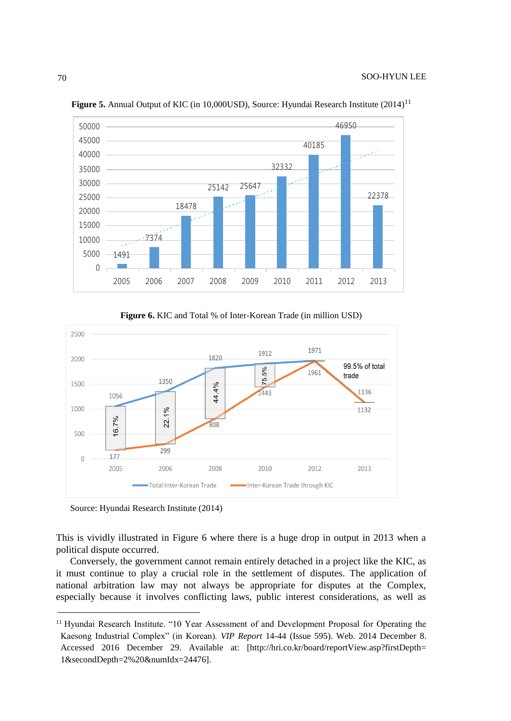

Figure 5. Annual Output of KIC (in 10,000USD), Source: Hyundai Research Institute (2014)<sup>11</sup>

**Figure 6.** KIC and Total % of Inter-Korean Trade (in million USD)



Source: Hyundai Research Institute (2014)

l

This is vividly illustrated in Figure 6 where there is a huge drop in output in 2013 when a political dispute occurred.

Conversely, the government cannot remain entirely detached in a project like the KIC, as it must continue to play a crucial role in the settlement of disputes. The application of national arbitration law may not always be appropriate for disputes at the Complex, especially because it involves conflicting laws, public interest considerations, as well as

<sup>&</sup>lt;sup>11</sup> Hyundai Research Institute. "10 Year Assessment of and Development Proposal for Operating the Kaesong Industrial Complex" (in Korean). *VIP Report* 14-44 (Issue 595). Web. 2014 December 8. Accessed 2016 December 29. Available at: [http://hri.co.kr/board/reportView.asp?firstDepth= 1&secondDepth=2%20&numIdx=24476].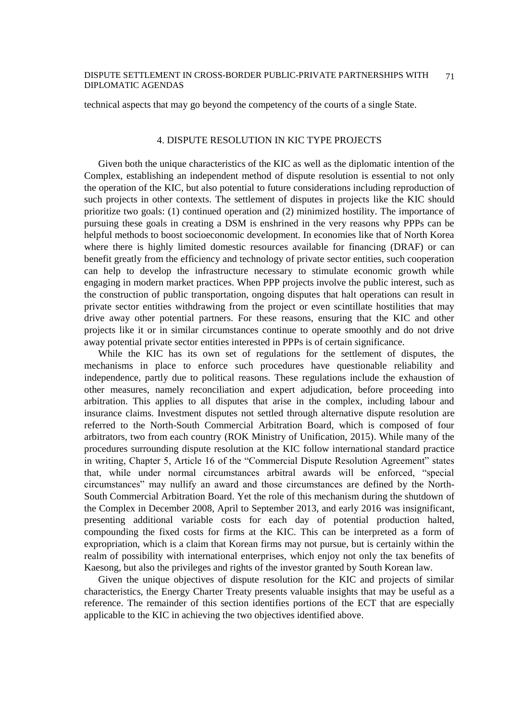technical aspects that may go beyond the competency of the courts of a single State.

### 4. DISPUTE RESOLUTION IN KIC TYPE PROJECTS

Given both the unique characteristics of the KIC as well as the diplomatic intention of the Complex, establishing an independent method of dispute resolution is essential to not only the operation of the KIC, but also potential to future considerations including reproduction of such projects in other contexts. The settlement of disputes in projects like the KIC should prioritize two goals: (1) continued operation and (2) minimized hostility. The importance of pursuing these goals in creating a DSM is enshrined in the very reasons why PPPs can be helpful methods to boost socioeconomic development. In economies like that of North Korea where there is highly limited domestic resources available for financing (DRAF) or can benefit greatly from the efficiency and technology of private sector entities, such cooperation can help to develop the infrastructure necessary to stimulate economic growth while engaging in modern market practices. When PPP projects involve the public interest, such as the construction of public transportation, ongoing disputes that halt operations can result in private sector entities withdrawing from the project or even scintillate hostilities that may drive away other potential partners. For these reasons, ensuring that the KIC and other projects like it or in similar circumstances continue to operate smoothly and do not drive away potential private sector entities interested in PPPs is of certain significance.

While the KIC has its own set of regulations for the settlement of disputes, the mechanisms in place to enforce such procedures have questionable reliability and independence, partly due to political reasons. These regulations include the exhaustion of other measures, namely reconciliation and expert adjudication, before proceeding into arbitration. This applies to all disputes that arise in the complex, including labour and insurance claims. Investment disputes not settled through alternative dispute resolution are referred to the North-South Commercial Arbitration Board, which is composed of four arbitrators, two from each country (ROK Ministry of Unification, 2015). While many of the procedures surrounding dispute resolution at the KIC follow international standard practice in writing, Chapter 5, Article 16 of the "Commercial Dispute Resolution Agreement" states that, while under normal circumstances arbitral awards will be enforced, "special circumstances" may nullify an award and those circumstances are defined by the North-South Commercial Arbitration Board. Yet the role of this mechanism during the shutdown of the Complex in December 2008, April to September 2013, and early 2016 was insignificant, presenting additional variable costs for each day of potential production halted, compounding the fixed costs for firms at the KIC. This can be interpreted as a form of expropriation, which is a claim that Korean firms may not pursue, but is certainly within the realm of possibility with international enterprises, which enjoy not only the tax benefits of Kaesong, but also the privileges and rights of the investor granted by South Korean law.

Given the unique objectives of dispute resolution for the KIC and projects of similar characteristics, the Energy Charter Treaty presents valuable insights that may be useful as a reference. The remainder of this section identifies portions of the ECT that are especially applicable to the KIC in achieving the two objectives identified above.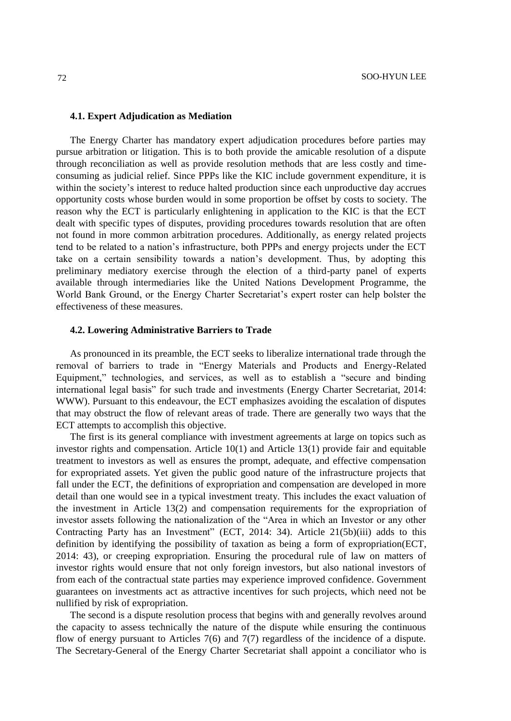### **4.1. Expert Adjudication as Mediation**

The Energy Charter has mandatory expert adjudication procedures before parties may pursue arbitration or litigation. This is to both provide the amicable resolution of a dispute through reconciliation as well as provide resolution methods that are less costly and timeconsuming as judicial relief. Since PPPs like the KIC include government expenditure, it is within the society's interest to reduce halted production since each unproductive day accrues opportunity costs whose burden would in some proportion be offset by costs to society. The reason why the ECT is particularly enlightening in application to the KIC is that the ECT dealt with specific types of disputes, providing procedures towards resolution that are often not found in more common arbitration procedures. Additionally, as energy related projects tend to be related to a nation's infrastructure, both PPPs and energy projects under the ECT take on a certain sensibility towards a nation's development. Thus, by adopting this preliminary mediatory exercise through the election of a third-party panel of experts available through intermediaries like the United Nations Development Programme, the World Bank Ground, or the Energy Charter Secretariat's expert roster can help bolster the effectiveness of these measures.

### **4.2. Lowering Administrative Barriers to Trade**

As pronounced in its preamble, the ECT seeks to liberalize international trade through the removal of barriers to trade in "Energy Materials and Products and Energy-Related Equipment," technologies, and services, as well as to establish a "secure and binding international legal basis" for such trade and investments (Energy Charter Secretariat, 2014: WWW). Pursuant to this endeavour, the ECT emphasizes avoiding the escalation of disputes that may obstruct the flow of relevant areas of trade. There are generally two ways that the ECT attempts to accomplish this objective.

The first is its general compliance with investment agreements at large on topics such as investor rights and compensation. Article  $10(1)$  and Article  $13(1)$  provide fair and equitable treatment to investors as well as ensures the prompt, adequate, and effective compensation for expropriated assets. Yet given the public good nature of the infrastructure projects that fall under the ECT, the definitions of expropriation and compensation are developed in more detail than one would see in a typical investment treaty. This includes the exact valuation of the investment in Article 13(2) and compensation requirements for the expropriation of investor assets following the nationalization of the "Area in which an Investor or any other Contracting Party has an Investment" (ECT, 2014: 34). Article 21(5b)(iii) adds to this definition by identifying the possibility of taxation as being a form of expropriation(ECT, 2014: 43), or creeping expropriation. Ensuring the procedural rule of law on matters of investor rights would ensure that not only foreign investors, but also national investors of from each of the contractual state parties may experience improved confidence. Government guarantees on investments act as attractive incentives for such projects, which need not be nullified by risk of expropriation.

The second is a dispute resolution process that begins with and generally revolves around the capacity to assess technically the nature of the dispute while ensuring the continuous flow of energy pursuant to Articles 7(6) and 7(7) regardless of the incidence of a dispute. The Secretary-General of the Energy Charter Secretariat shall appoint a conciliator who is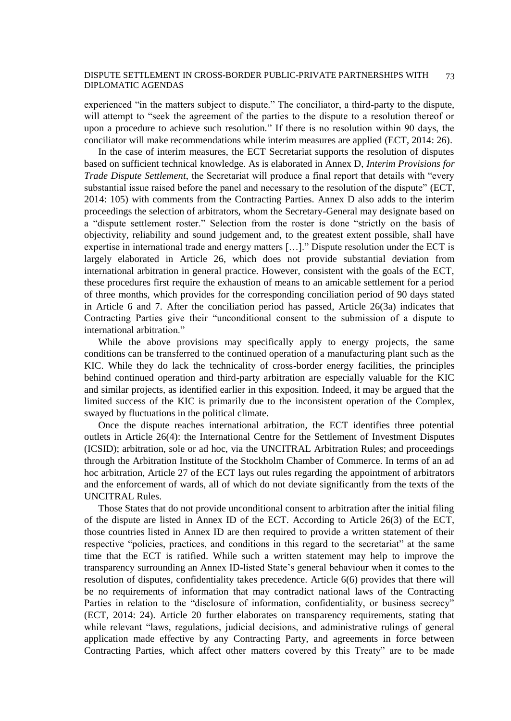experienced "in the matters subject to dispute." The conciliator, a third-party to the dispute, will attempt to "seek the agreement of the parties to the dispute to a resolution thereof or upon a procedure to achieve such resolution." If there is no resolution within 90 days, the conciliator will make recommendations while interim measures are applied (ECT, 2014: 26).

In the case of interim measures, the ECT Secretariat supports the resolution of disputes based on sufficient technical knowledge. As is elaborated in Annex D, *Interim Provisions for Trade Dispute Settlement*, the Secretariat will produce a final report that details with "every substantial issue raised before the panel and necessary to the resolution of the dispute" (ECT, 2014: 105) with comments from the Contracting Parties. Annex D also adds to the interim proceedings the selection of arbitrators, whom the Secretary-General may designate based on a "dispute settlement roster." Selection from the roster is done "strictly on the basis of objectivity, reliability and sound judgement and, to the greatest extent possible, shall have expertise in international trade and energy matters […]." Dispute resolution under the ECT is largely elaborated in Article 26, which does not provide substantial deviation from international arbitration in general practice. However, consistent with the goals of the ECT, these procedures first require the exhaustion of means to an amicable settlement for a period of three months, which provides for the corresponding conciliation period of 90 days stated in Article 6 and 7. After the conciliation period has passed, Article 26(3a) indicates that Contracting Parties give their "unconditional consent to the submission of a dispute to international arbitration."

While the above provisions may specifically apply to energy projects, the same conditions can be transferred to the continued operation of a manufacturing plant such as the KIC. While they do lack the technicality of cross-border energy facilities, the principles behind continued operation and third-party arbitration are especially valuable for the KIC and similar projects, as identified earlier in this exposition. Indeed, it may be argued that the limited success of the KIC is primarily due to the inconsistent operation of the Complex, swayed by fluctuations in the political climate.

Once the dispute reaches international arbitration, the ECT identifies three potential outlets in Article 26(4): the International Centre for the Settlement of Investment Disputes (ICSID); arbitration, sole or ad hoc, via the UNCITRAL Arbitration Rules; and proceedings through the Arbitration Institute of the Stockholm Chamber of Commerce. In terms of an ad hoc arbitration, Article 27 of the ECT lays out rules regarding the appointment of arbitrators and the enforcement of wards, all of which do not deviate significantly from the texts of the UNCITRAL Rules.

Those States that do not provide unconditional consent to arbitration after the initial filing of the dispute are listed in Annex ID of the ECT. According to Article 26(3) of the ECT, those countries listed in Annex ID are then required to provide a written statement of their respective "policies, practices, and conditions in this regard to the secretariat" at the same time that the ECT is ratified. While such a written statement may help to improve the transparency surrounding an Annex ID-listed State's general behaviour when it comes to the resolution of disputes, confidentiality takes precedence. Article 6(6) provides that there will be no requirements of information that may contradict national laws of the Contracting Parties in relation to the "disclosure of information, confidentiality, or business secrecy" (ECT, 2014: 24). Article 20 further elaborates on transparency requirements, stating that while relevant "laws, regulations, judicial decisions, and administrative rulings of general application made effective by any Contracting Party, and agreements in force between Contracting Parties, which affect other matters covered by this Treaty" are to be made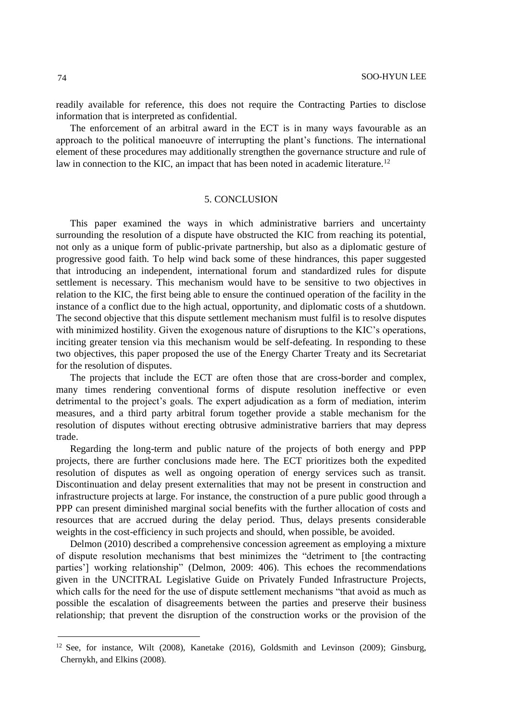readily available for reference, this does not require the Contracting Parties to disclose information that is interpreted as confidential.

The enforcement of an arbitral award in the ECT is in many ways favourable as an approach to the political manoeuvre of interrupting the plant's functions. The international element of these procedures may additionally strengthen the governance structure and rule of law in connection to the KIC, an impact that has been noted in academic literature.<sup>12</sup>

### 5. CONCLUSION

This paper examined the ways in which administrative barriers and uncertainty surrounding the resolution of a dispute have obstructed the KIC from reaching its potential, not only as a unique form of public-private partnership, but also as a diplomatic gesture of progressive good faith. To help wind back some of these hindrances, this paper suggested that introducing an independent, international forum and standardized rules for dispute settlement is necessary. This mechanism would have to be sensitive to two objectives in relation to the KIC, the first being able to ensure the continued operation of the facility in the instance of a conflict due to the high actual, opportunity, and diplomatic costs of a shutdown. The second objective that this dispute settlement mechanism must fulfil is to resolve disputes with minimized hostility. Given the exogenous nature of disruptions to the KIC's operations, inciting greater tension via this mechanism would be self-defeating. In responding to these two objectives, this paper proposed the use of the Energy Charter Treaty and its Secretariat for the resolution of disputes.

The projects that include the ECT are often those that are cross-border and complex, many times rendering conventional forms of dispute resolution ineffective or even detrimental to the project's goals. The expert adjudication as a form of mediation, interim measures, and a third party arbitral forum together provide a stable mechanism for the resolution of disputes without erecting obtrusive administrative barriers that may depress trade.

Regarding the long-term and public nature of the projects of both energy and PPP projects, there are further conclusions made here. The ECT prioritizes both the expedited resolution of disputes as well as ongoing operation of energy services such as transit. Discontinuation and delay present externalities that may not be present in construction and infrastructure projects at large. For instance, the construction of a pure public good through a PPP can present diminished marginal social benefits with the further allocation of costs and resources that are accrued during the delay period. Thus, delays presents considerable weights in the cost-efficiency in such projects and should, when possible, be avoided.

Delmon (2010) described a comprehensive concession agreement as employing a mixture of dispute resolution mechanisms that best minimizes the "detriment to [the contracting parties'] working relationship" (Delmon, 2009: 406). This echoes the recommendations given in the UNCITRAL Legislative Guide on Privately Funded Infrastructure Projects, which calls for the need for the use of dispute settlement mechanisms "that avoid as much as possible the escalation of disagreements between the parties and preserve their business relationship; that prevent the disruption of the construction works or the provision of the

 $12$  See, for instance, Wilt (2008), Kanetake (2016), Goldsmith and Levinson (2009); Ginsburg, Chernykh, and Elkins (2008).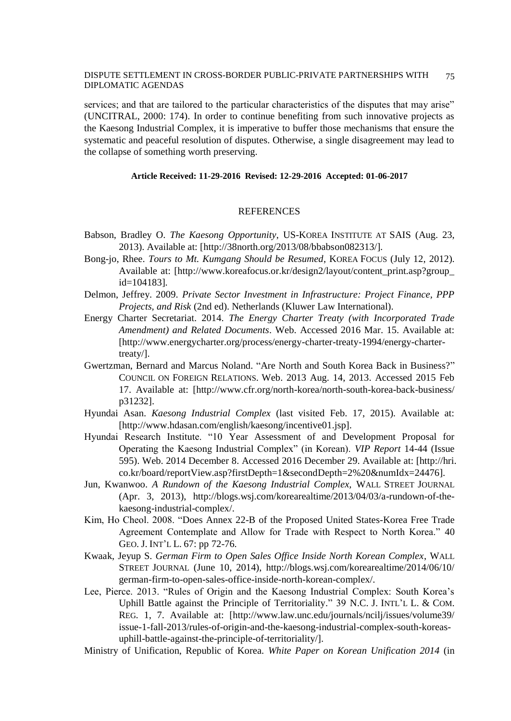services; and that are tailored to the particular characteristics of the disputes that may arise" (UNCITRAL, 2000: 174). In order to continue benefiting from such innovative projects as the Kaesong Industrial Complex, it is imperative to buffer those mechanisms that ensure the systematic and peaceful resolution of disputes. Otherwise, a single disagreement may lead to the collapse of something worth preserving.

### **Article Received: 11-29-2016 Revised: 12-29-2016 Accepted: 01-06-2017**

### REFERENCES

- Babson, Bradley O. *The Kaesong Opportunity*, US-KOREA INSTITUTE AT SAIS (Aug. 23, 2013). Available at: [http://38north.org/2013/08/bbabson082313/].
- Bong-jo, Rhee. *Tours to Mt. Kumgang Should be Resumed*, KOREA FOCUS (July 12, 2012). Available at: [http://www.koreafocus.or.kr/design2/layout/content\_print.asp?group\_ id=104183].
- Delmon, Jeffrey. 2009. *Private Sector Investment in Infrastructure: Project Finance, PPP Projects, and Risk* (2nd ed). Netherlands (Kluwer Law International).
- Energy Charter Secretariat. 2014. *The Energy Charter Treaty (with Incorporated Trade Amendment) and Related Documents*. Web. Accessed 2016 Mar. 15. Available at: [http://www.energycharter.org/process/energy-charter-treaty-1994/energy-chartertreaty/].
- Gwertzman, Bernard and Marcus Noland. "Are North and South Korea Back in Business?" COUNCIL ON FOREIGN RELATIONS. Web. 2013 Aug. 14, 2013. Accessed 2015 Feb 17. Available at: [http://www.cfr.org/north-korea/north-south-korea-back-business/ p31232].
- Hyundai Asan. *Kaesong Industrial Complex* (last visited Feb. 17, 2015). Available at: [http://www.hdasan.com/english/kaesong/incentive01.jsp].
- Hyundai Research Institute. "10 Year Assessment of and Development Proposal for Operating the Kaesong Industrial Complex" (in Korean). *VIP Report* 14-44 (Issue 595). Web. 2014 December 8. Accessed 2016 December 29. Available at: [http://hri. co.kr/board/reportView.asp?firstDepth=1&secondDepth=2%20&numIdx=24476].
- Jun, Kwanwoo. *A Rundown of the Kaesong Industrial Complex,* WALL STREET JOURNAL (Apr. 3, 2013), http://blogs.wsj.com/korearealtime/2013/04/03/a-rundown-of-thekaesong-industrial-complex/.
- Kim, Ho Cheol. 2008. "Does Annex 22-B of the Proposed United States-Korea Free Trade Agreement Contemplate and Allow for Trade with Respect to North Korea." 40 GEO. J. INT'L L. 67: pp 72-76.
- Kwaak, Jeyup S. *German Firm to Open Sales Office Inside North Korean Complex*, WALL STREET JOURNAL (June 10, 2014), http://blogs.wsj.com/korearealtime/2014/06/10/ german-firm-to-open-sales-office-inside-north-korean-complex/.
- Lee, Pierce. 2013. "Rules of Origin and the Kaesong Industrial Complex: South Korea's Uphill Battle against the Principle of Territoriality." 39 N.C. J. INTL'L L. & COM. REG. 1, 7. Available at: [http://www.law.unc.edu/journals/ncilj/issues/volume39/ issue-1-fall-2013/rules-of-origin-and-the-kaesong-industrial-complex-south-koreasuphill-battle-against-the-principle-of-territoriality/].

Ministry of Unification, Republic of Korea. *White Paper on Korean Unification 2014* (in